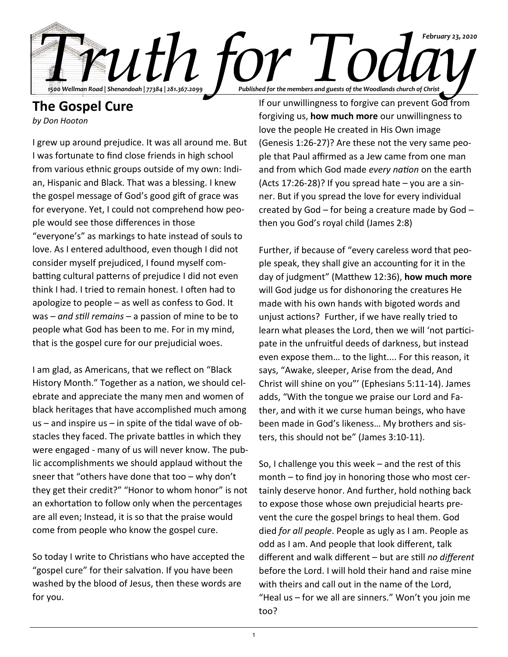

## **The Gospel Cure**

*by Don Hooton*

I grew up around prejudice. It was all around me. But I was fortunate to find close friends in high school from various ethnic groups outside of my own: Indian, Hispanic and Black. That was a blessing. I knew the gospel message of God's good gift of grace was for everyone. Yet, I could not comprehend how people would see those differences in those "everyone's" as markings to hate instead of souls to love. As I entered adulthood, even though I did not consider myself prejudiced, I found myself combatting cultural patterns of prejudice I did not even think I had. I tried to remain honest. I often had to apologize to people – as well as confess to God. It was – *and still remains* – a passion of mine to be to people what God has been to me. For in my mind, that is the gospel cure for our prejudicial woes.

I am glad, as Americans, that we reflect on "Black History Month." Together as a nation, we should celebrate and appreciate the many men and women of black heritages that have accomplished much among  $us$  – and inspire us – in spite of the tidal wave of obstacles they faced. The private battles in which they were engaged - many of us will never know. The public accomplishments we should applaud without the sneer that "others have done that too – why don't they get their credit?" "Honor to whom honor" is not an exhortation to follow only when the percentages are all even; Instead, it is so that the praise would come from people who know the gospel cure.

So today I write to Christians who have accepted the "gospel cure" for their salvation. If you have been washed by the blood of Jesus, then these words are for you.

If our unwillingness to forgive can prevent God from forgiving us, **how much more** our unwillingness to love the people He created in His Own image (Genesis 1:26-27)? Are these not the very same people that Paul affirmed as a Jew came from one man and from which God made *every nation* on the earth (Acts 17:26-28)? If you spread hate  $-$  you are a sinner. But if you spread the love for every individual created by God – for being a creature made by God – then you God's royal child (James 2:8)

Further, if because of "every careless word that people speak, they shall give an accounting for it in the day of judgment" (Matthew 12:36), **how much more** will God judge us for dishonoring the creatures He made with his own hands with bigoted words and unjust actions? Further, if we have really tried to learn what pleases the Lord, then we will 'not participate in the unfruitful deeds of darkness, but instead even expose them… to the light.... For this reason, it says, "Awake, sleeper, Arise from the dead, And Christ will shine on you"' (Ephesians 5:11-14). James adds, "With the tongue we praise our Lord and Father, and with it we curse human beings, who have been made in God's likeness… My brothers and sisters, this should not be" (James 3:10-11).

So, I challenge you this week – and the rest of this month – to find joy in honoring those who most certainly deserve honor. And further, hold nothing back to expose those whose own prejudicial hearts prevent the cure the gospel brings to heal them. God died *for all people*. People as ugly as I am. People as odd as I am. And people that look different, talk different and walk different – but are still *no different* before the Lord. I will hold their hand and raise mine with theirs and call out in the name of the Lord, "Heal us – for we all are sinners." Won't you join me too?